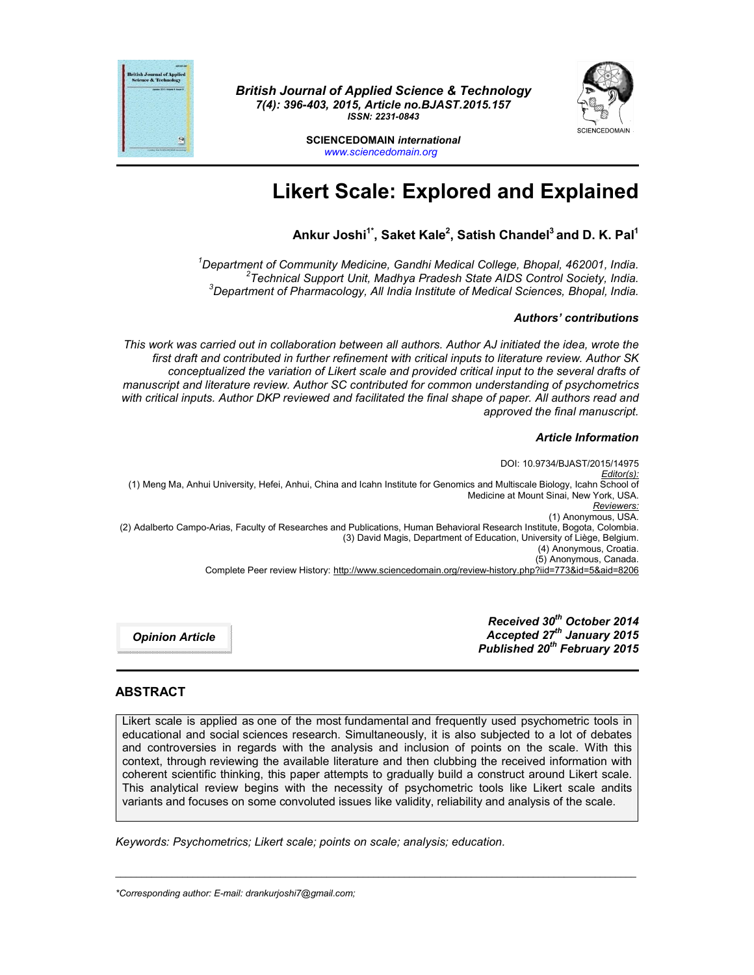

*British Journal of Applied Science & Technology 7(4): 396-403, 2015, Article no.BJAST.2015.157 ISSN: 2231-0843*



**SCIENCEDOMAIN** *international www.sciencedomain.org*

# **Likert Scale: Explored and Explained**

# **Ankur Joshi1\*, Saket Kale2 , Satish Chandel3 and D. K. Pal1**

*1 Department of Community Medicine, Gandhi Medical College, Bhopal, 462001, India. <sup>2</sup> Technical Support Unit, Madhya Pradesh State AIDS Control Society, India. <sup>3</sup> Department of Pharmacology, All India Institute of Medical Sciences, Bhopal, India.*

#### *Authors' contributions*

*This work was carried out in collaboration between all authors. Author AJ initiated the idea, wrote the first draft and contributed in further refinement with critical inputs to literature review. Author SK conceptualized the variation of Likert scale and provided critical input to the several drafts of manuscript and literature review. Author SC contributed for common understanding of psychometrics with critical inputs. Author DKP reviewed and facilitated the final shape of paper. All authors read and approved the final manuscript.*

#### *Article Information*

DOI: 10.9734/BJAST/2015/14975 *Editor(s):* (1) Meng Ma, Anhui University, Hefei, Anhui, China and Icahn Institute for Genomics and Multiscale Biology, Icahn School of Medicine at Mount Sinai, New York, USA. *Reviewers:* (1) Anonymous, USA. (2) Adalberto Campo-Arias, Faculty of Researches and Publications, Human Behavioral Research Institute, Bogota, Colombia. (3) David Magis, Department of Education, University of Liège, Belgium. (4) Anonymous, Croatia. (5) Anonymous, Canada. Complete Peer review History: http://www.sciencedomain.org/review-history.php?iid=773&id=5&aid=8206

*Opinion Article*

*Received 30th October 2014 Accepted 27th January 2015 Published 20th February 2015*

## **ABSTRACT**

Likert scale is applied as one of the most fundamental and frequently used psychometric tools in educational and social sciences research. Simultaneously, it is also subjected to a lot of debates and controversies in regards with the analysis and inclusion of points on the scale. With this context, through reviewing the available literature and then clubbing the received information with coherent scientific thinking, this paper attempts to gradually build a construct around Likert scale. This analytical review begins with the necessity of psychometric tools like Likert scale andits variants and focuses on some convoluted issues like validity, reliability and analysis of the scale.

\_\_\_\_\_\_\_\_\_\_\_\_\_\_\_\_\_\_\_\_\_\_\_\_\_\_\_\_\_\_\_\_\_\_\_\_\_\_\_\_\_\_\_\_\_\_\_\_\_\_\_\_\_\_\_\_\_\_\_\_\_\_\_\_\_\_\_\_\_\_\_\_\_\_\_\_\_\_\_\_\_\_\_\_\_\_\_\_\_\_\_\_\_\_\_\_\_\_\_\_\_

*Keywords: Psychometrics; Likert scale; points on scale; analysis; education.*

*\*Corresponding author: E-mail: drankurjoshi7@gmail.com;*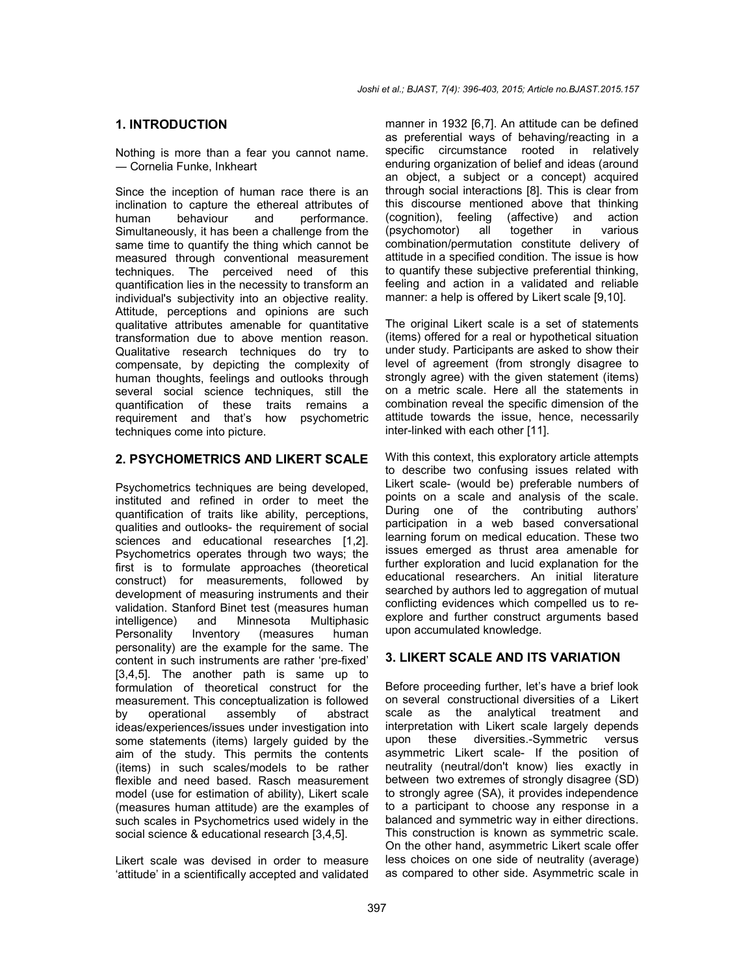#### **1. INTRODUCTION**

Nothing is more than a fear you cannot name. ― Cornelia Funke, Inkheart

Since the inception of human race there is an inclination to capture the ethereal attributes of human behaviour and performance. Simultaneously, it has been a challenge from the same time to quantify the thing which cannot be measured through conventional measurement techniques. The perceived need of this quantification lies in the necessity to transform an individual's subjectivity into an objective reality. Attitude, perceptions and opinions are such qualitative attributes amenable for quantitative transformation due to above mention reason. Qualitative research techniques do try to compensate, by depicting the complexity of human thoughts, feelings and outlooks through several social science techniques, still the quantification of these traits remains a requirement and that's how psychometric techniques come into picture.

#### **2. PSYCHOMETRICS AND LIKERT SCALE**

Psychometrics techniques are being developed, instituted and refined in order to meet the quantification of traits like ability, perceptions, qualities and outlooks- the requirement of social sciences and educational researches [1,2]. Psychometrics operates through two ways; the first is to formulate approaches (theoretical construct) for measurements, followed by development of measuring instruments and their validation. Stanford Binet test (measures human intelligence) and Minnesota Multiphasic Personality Inventory (measures human personality) are the example for the same. The content in such instruments are rather 'pre-fixed' [3,4,5]. The another path is same up to formulation of theoretical construct for the measurement. This conceptualization is followed by operational assembly of abstract ideas/experiences/issues under investigation into some statements (items) largely quided by the aim of the study. This permits the contents (items) in such scales/models to be rather flexible and need based. Rasch measurement model (use for estimation of ability), Likert scale (measures human attitude) are the examples of such scales in Psychometrics used widely in the social science & educational research [3,4,5].

Likert scale was devised in order to measure 'attitude' in a scientifically accepted and validated

manner in 1932 [6,7]. An attitude can be defined as preferential ways of behaving/reacting in a specific circumstance rooted in relatively enduring organization of belief and ideas (around an object, a subject or a concept) acquired through social interactions [8]. This is clear from this discourse mentioned above that thinking (cognition), feeling (affective) and action (psychomotor) all together in various combination/permutation constitute delivery of attitude in a specified condition. The issue is how to quantify these subjective preferential thinking, feeling and action in a validated and reliable manner: a help is offered by Likert scale [9,10].

The original Likert scale is a set of statements (items) offered for a real or hypothetical situation under study. Participants are asked to show their level of agreement (from strongly disagree to strongly agree) with the given statement (items) on a metric scale. Here all the statements in combination reveal the specific dimension of the attitude towards the issue, hence, necessarily inter-linked with each other [11].

With this context, this exploratory article attempts to describe two confusing issues related with Likert scale- (would be) preferable numbers of points on a scale and analysis of the scale. During one of the contributing authors' participation in a web based conversational learning forum on medical education. These two issues emerged as thrust area amenable for further exploration and lucid explanation for the educational researchers. An initial literature searched by authors led to aggregation of mutual conflicting evidences which compelled us to reexplore and further construct arguments based upon accumulated knowledge.

#### **3. LIKERT SCALE AND ITS VARIATION**

Before proceeding further, let's have a brief look on several constructional diversities of a Likert scale as the analytical treatment and interpretation with Likert scale largely depends upon these diversities.-Symmetric versus asymmetric Likert scale- If the position of neutrality (neutral/don't know) lies exactly in between two extremes of strongly disagree (SD) to strongly agree (SA), it provides independence to a participant to choose any response in a balanced and symmetric way in either directions. This construction is known as symmetric scale. On the other hand, asymmetric Likert scale offer less choices on one side of neutrality (average) as compared to other side. Asymmetric scale in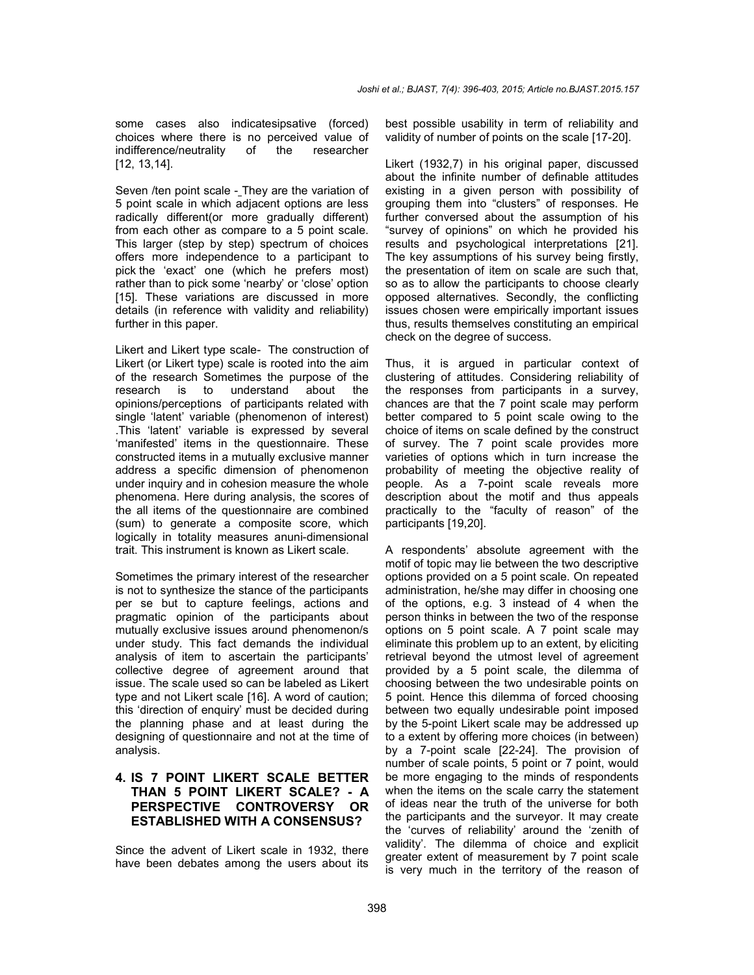some cases also indicatesipsative (forced) choices where there is no perceived value of indifference/neutrality of the researcher [12, 13,14].

Seven /ten point scale - They are the variation of 5 point scale in which adjacent options are less radically different(or more gradually different) from each other as compare to a 5 point scale. This larger (step by step) spectrum of choices offers more independence to a participant to pick the 'exact' one (which he prefers most) rather than to pick some 'nearby' or 'close' option [15]. These variations are discussed in more details (in reference with validity and reliability) further in this paper.

Likert and Likert type scale- The construction of Likert (or Likert type) scale is rooted into the aim of the research Sometimes the purpose of the research is to understand about the opinions/perceptions of participants related with single 'latent' variable (phenomenon of interest) .This 'latent' variable is expressed by several 'manifested' items in the questionnaire. These constructed items in a mutually exclusive manner address a specific dimension of phenomenon under inquiry and in cohesion measure the whole phenomena. Here during analysis, the scores of the all items of the questionnaire are combined (sum) to generate a composite score, which logically in totality measures anuni-dimensional trait. This instrument is known as Likert scale.

Sometimes the primary interest of the researcher is not to synthesize the stance of the participants per se but to capture feelings, actions and pragmatic opinion of the participants about mutually exclusive issues around phenomenon/s under study. This fact demands the individual analysis of item to ascertain the participants' collective degree of agreement around that issue. The scale used so can be labeled as Likert type and not Likert scale [16]. A word of caution; this 'direction of enquiry' must be decided during the planning phase and at least during the designing of questionnaire and not at the time of analysis.

### **4. IS 7 POINT LIKERT SCALE BETTER THAN 5 POINT LIKERT SCALE? - A PERSPECTIVE CONTROVERSY OR ESTABLISHED WITH A CONSENSUS?**

Since the advent of Likert scale in 1932, there have been debates among the users about its best possible usability in term of reliability and validity of number of points on the scale [17-20].

Likert (1932,7) in his original paper, discussed about the infinite number of definable attitudes existing in a given person with possibility of grouping them into "clusters" of responses. He further conversed about the assumption of his "survey of opinions" on which he provided his results and psychological interpretations [21]. The key assumptions of his survey being firstly, the presentation of item on scale are such that, so as to allow the participants to choose clearly opposed alternatives. Secondly, the conflicting issues chosen were empirically important issues thus, results themselves constituting an empirical check on the degree of success.

Thus, it is argued in particular context of clustering of attitudes. Considering reliability of the responses from participants in a survey, chances are that the 7 point scale may perform better compared to 5 point scale owing to the choice of items on scale defined by the construct of survey. The 7 point scale provides more varieties of options which in turn increase the probability of meeting the objective reality of people. As a 7-point scale reveals more description about the motif and thus appeals practically to the "faculty of reason" of the participants [19,20].

A respondents' absolute agreement with the motif of topic may lie between the two descriptive options provided on a 5 point scale. On repeated administration, he/she may differ in choosing one of the options, e.g. 3 instead of 4 when the person thinks in between the two of the response options on 5 point scale. A 7 point scale may eliminate this problem up to an extent, by eliciting retrieval beyond the utmost level of agreement provided by a 5 point scale, the dilemma of choosing between the two undesirable points on 5 point. Hence this dilemma of forced choosing between two equally undesirable point imposed by the 5-point Likert scale may be addressed up to a extent by offering more choices (in between) by a 7-point scale [22-24]. The provision of number of scale points, 5 point or 7 point, would be more engaging to the minds of respondents when the items on the scale carry the statement of ideas near the truth of the universe for both the participants and the surveyor. It may create the 'curves of reliability' around the 'zenith of validity'. The dilemma of choice and explicit greater extent of measurement by 7 point scale is very much in the territory of the reason of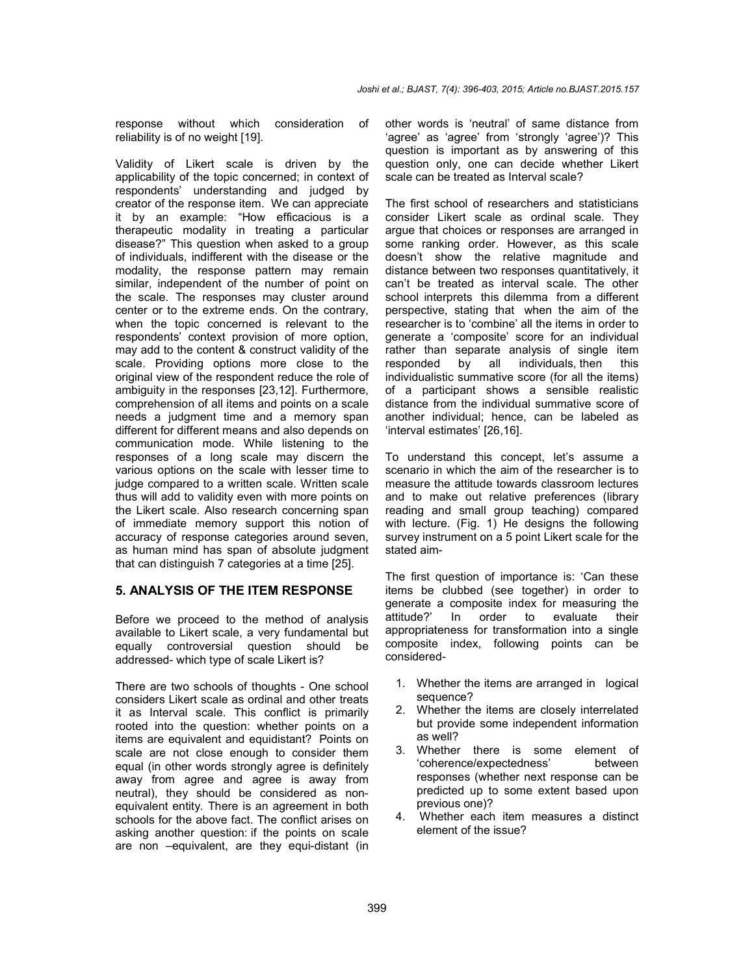response without which consideration of reliability is of no weight [19].

Validity of Likert scale is driven by the applicability of the topic concerned; in context of respondents' understanding and judged by creator of the response item. We can appreciate it by an example: "How efficacious is a therapeutic modality in treating a particular disease?" This question when asked to a group of individuals, indifferent with the disease or the modality, the response pattern may remain similar, independent of the number of point on the scale. The responses may cluster around center or to the extreme ends. On the contrary, when the topic concerned is relevant to the respondents' context provision of more option, may add to the content & construct validity of the scale. Providing options more close to the original view of the respondent reduce the role of ambiguity in the responses [23,12]. Furthermore, comprehension of all items and points on a scale needs a judgment time and a memory span different for different means and also depends on communication mode. While listening to the responses of a long scale may discern the various options on the scale with lesser time to judge compared to a written scale. Written scale thus will add to validity even with more points on the Likert scale. Also research concerning span of immediate memory support this notion of accuracy of response categories around seven, as human mind has span of absolute judgment that can distinguish 7 categories at a time [25].

#### **5. ANALYSIS OF THE ITEM RESPONSE**

Before we proceed to the method of analysis available to Likert scale, a very fundamental but equally controversial question should be addressed- which type of scale Likert is?

There are two schools of thoughts - One school considers Likert scale as ordinal and other treats it as Interval scale. This conflict is primarily rooted into the question: whether points on a items are equivalent and equidistant? Points on scale are not close enough to consider them equal (in other words strongly agree is definitely away from agree and agree is away from neutral), they should be considered as nonequivalent entity. There is an agreement in both schools for the above fact. The conflict arises on asking another question: if the points on scale are non –equivalent, are they equi-distant (in

other words is 'neutral' of same distance from 'agree' as 'agree' from 'strongly 'agree')? This question is important as by answering of this question only, one can decide whether Likert scale can be treated as Interval scale?

The first school of researchers and statisticians consider Likert scale as ordinal scale. They argue that choices or responses are arranged in some ranking order. However, as this scale doesn't show the relative magnitude and distance between two responses quantitatively, it can't be treated as interval scale. The other school interprets this dilemma from a different perspective, stating that when the aim of the researcher is to 'combine' all the items in order to generate a 'composite' score for an individual rather than separate analysis of single item responded by all individuals, then this individualistic summative score (for all the items) of a participant shows a sensible realistic distance from the individual summative score of another individual; hence, can be labeled as 'interval estimates' [26,16].

To understand this concept, let's assume a scenario in which the aim of the researcher is to measure the attitude towards classroom lectures and to make out relative preferences (library reading and small group teaching) compared with lecture. (Fig. 1) He designs the following survey instrument on a 5 point Likert scale for the stated aim-

The first question of importance is: 'Can these items be clubbed (see together) in order to generate a composite index for measuring the attitude?' In order to evaluate their appropriateness for transformation into a single composite index, following points can be considered-

- 1. Whether the items are arranged in logical sequence?
- 2. Whether the items are closely interrelated but provide some independent information as well?
- 3. Whether there is some element of 'coherence/expectedness' between responses (whether next response can be predicted up to some extent based upon previous one)?
- 4. Whether each item measures a distinct element of the issue?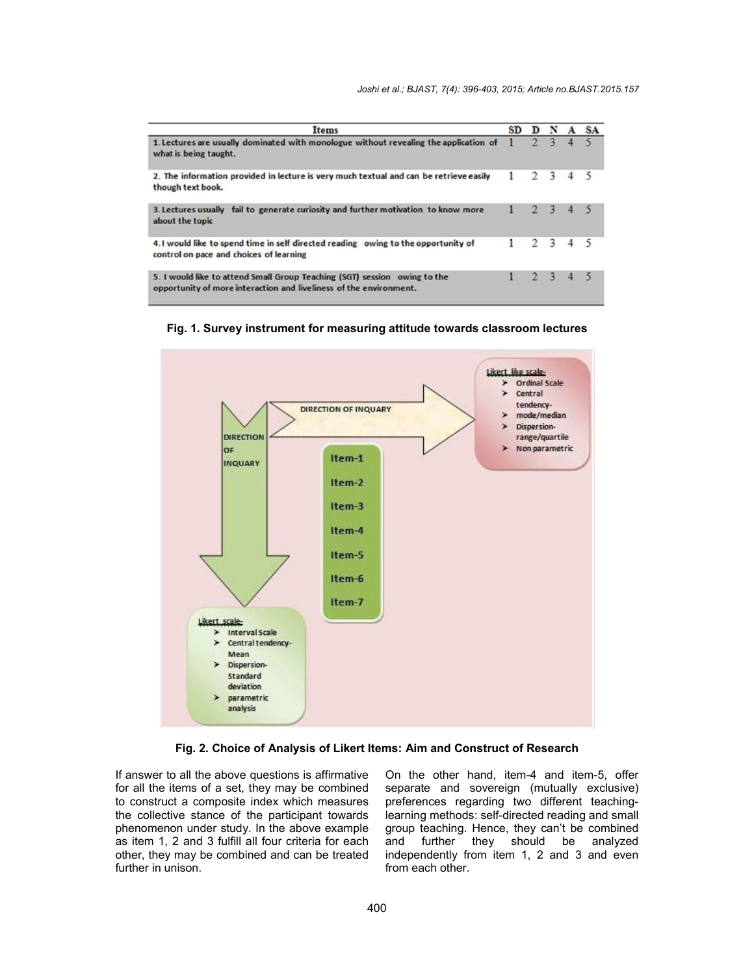| <b>Items</b>                                                                                                                                    | <b>SD</b> | D              | N                       | A | <b>SA</b> |
|-------------------------------------------------------------------------------------------------------------------------------------------------|-----------|----------------|-------------------------|---|-----------|
| 1. Lectures are usually dominated with monologue without revealing the application of<br>what is being taught.                                  |           |                |                         |   |           |
| 2. The information provided in lecture is very much textual and can be retrieve easily<br>though text book.                                     |           | $\overline{2}$ | $\overline{\mathbf{3}}$ |   |           |
| 3. Lectures usually fail to generate curiosity and further motivation to know more<br>about the topic                                           |           |                | 2, 3, 4                 |   |           |
| 4. I would like to spend time in self directed reading owing to the opportunity of<br>control on pace and choices of learning                   |           | $\mathcal{D}$  | $\mathbf{R}$            |   |           |
| 5. I would like to attend Small Group Teaching (SGT) session owing to the<br>opportunity of more interaction and liveliness of the environment. |           |                | $2^{\circ}$             |   |           |





**Fig. 2. Choice of Analysis of Likert Items: Aim and Construct of Research**

If answer to all the above questions is affirmative for all the items of a set, they may be combined to construct a composite index which measures the collective stance of the participant towards phenomenon under study. In the above example as item 1, 2 and 3 fulfill all four criteria for each other, they may be combined and can be treated further in unison.

On the other hand, item-4 and item-5, offer separate and sovereign (mutually exclusive) preferences regarding two different teachinglearning methods: self-directed reading and small group teaching. Hence, they can't be combined and further they should be analyzed independently from item 1, 2 and 3 and even from each other.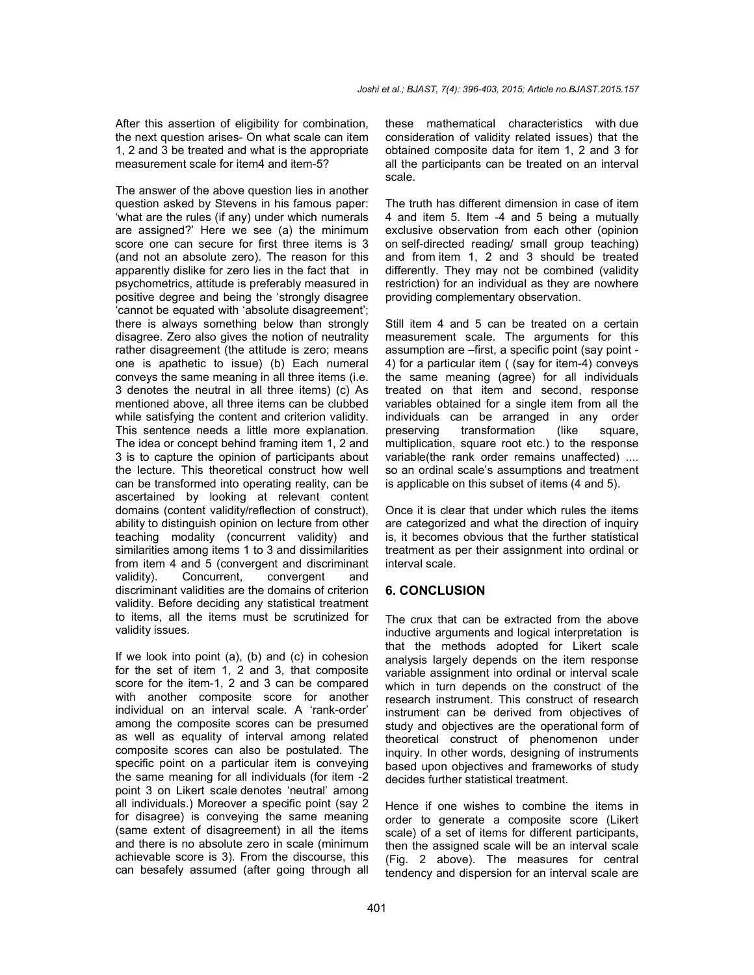After this assertion of eligibility for combination, the next question arises- On what scale can item 1, 2 and 3 be treated and what is the appropriate measurement scale for item4 and item-5?

The answer of the above question lies in another question asked by Stevens in his famous paper: 'what are the rules (if any) under which numerals are assigned?' Here we see (a) the minimum score one can secure for first three items is 3 (and not an absolute zero). The reason for this apparently dislike for zero lies in the fact that in psychometrics, attitude is preferably measured in positive degree and being the 'strongly disagree 'cannot be equated with 'absolute disagreement'; there is always something below than strongly disagree. Zero also gives the notion of neutrality rather disagreement (the attitude is zero; means one is apathetic to issue) (b) Each numeral conveys the same meaning in all three items (i.e. 3 denotes the neutral in all three items) (c) As mentioned above, all three items can be clubbed while satisfying the content and criterion validity. This sentence needs a little more explanation. The idea or concept behind framing item 1, 2 and 3 is to capture the opinion of participants about the lecture. This theoretical construct how well can be transformed into operating reality, can be ascertained by looking at relevant content domains (content validity/reflection of construct), ability to distinguish opinion on lecture from other teaching modality (concurrent validity) and similarities among items 1 to 3 and dissimilarities from item 4 and 5 (convergent and discriminant validity). Concurrent, convergent and discriminant validities are the domains of criterion validity. Before deciding any statistical treatment to items, all the items must be scrutinized for validity issues.

If we look into point (a), (b) and (c) in cohesion for the set of item 1, 2 and 3, that composite score for the item-1, 2 and 3 can be compared with another composite score for another individual on an interval scale. A 'rank-order' among the composite scores can be presumed as well as equality of interval among related composite scores can also be postulated. The specific point on a particular item is conveying the same meaning for all individuals (for item -2 point 3 on Likert scale denotes 'neutral' among all individuals.) Moreover a specific point (say 2 for disagree) is conveying the same meaning (same extent of disagreement) in all the items and there is no absolute zero in scale (minimum achievable score is 3). From the discourse, this can besafely assumed (after going through all these mathematical characteristics with due consideration of validity related issues) that the obtained composite data for item 1, 2 and 3 for all the participants can be treated on an interval scale.

The truth has different dimension in case of item 4 and item 5. Item -4 and 5 being a mutually exclusive observation from each other (opinion on self-directed reading/ small group teaching) and from item 1, 2 and 3 should be treated differently. They may not be combined (validity restriction) for an individual as they are nowhere providing complementary observation.

Still item 4 and 5 can be treated on a certain measurement scale. The arguments for this assumption are –first, a specific point (say point - 4) for a particular item ( (say for item-4) conveys the same meaning (agree) for all individuals treated on that item and second, response variables obtained for a single item from all the individuals can be arranged in any order preserving transformation (like square, multiplication, square root etc.) to the response variable(the rank order remains unaffected) .... so an ordinal scale's assumptions and treatment is applicable on this subset of items (4 and 5).

Once it is clear that under which rules the items are categorized and what the direction of inquirv is, it becomes obvious that the further statistical treatment as per their assignment into ordinal or interval scale.

#### **6. CONCLUSION**

The crux that can be extracted from the above inductive arguments and logical interpretation is that the methods adopted for Likert scale analysis largely depends on the item response variable assignment into ordinal or interval scale which in turn depends on the construct of the research instrument. This construct of research instrument can be derived from objectives of study and objectives are the operational form of theoretical construct of phenomenon under inquiry. In other words, designing of instruments based upon objectives and frameworks of study decides further statistical treatment.

Hence if one wishes to combine the items in order to generate a composite score (Likert scale) of a set of items for different participants, then the assigned scale will be an interval scale (Fig. 2 above). The measures for central tendency and dispersion for an interval scale are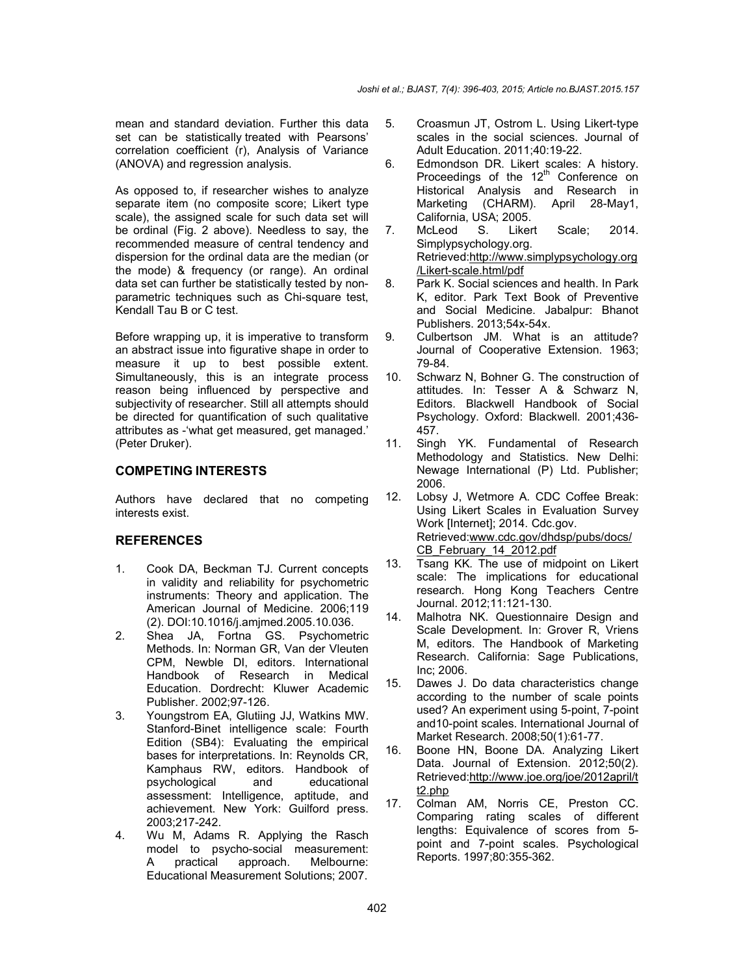mean and standard deviation. Further this data set can be statistically treated with Pearsons' correlation coefficient (r), Analysis of Variance (ANOVA) and regression analysis.

As opposed to, if researcher wishes to analyze separate item (no composite score; Likert type scale), the assigned scale for such data set will be ordinal (Fig. 2 above). Needless to say, the recommended measure of central tendency and dispersion for the ordinal data are the median (or the mode) & frequency (or range). An ordinal data set can further be statistically tested by nonparametric techniques such as Chi-square test, Kendall Tau B or C test.

Before wrapping up, it is imperative to transform an abstract issue into figurative shape in order to measure it up to best possible extent. Simultaneously, this is an integrate process reason being influenced by perspective and subjectivity of researcher. Still all attempts should be directed for quantification of such qualitative attributes as -'what get measured, get managed.' (Peter Druker).

#### **COMPETING INTERESTS**

Authors have declared that no competing interests exist.

#### **REFERENCES**

- 1. Cook DA, Beckman TJ. Current concepts in validity and reliability for psychometric instruments: Theory and application. The American Journal of Medicine. 2006;119 (2). DOI:10.1016/j.amjmed.2005.10.036.
- 2. Shea JA, Fortna GS. Psychometric Methods. In: Norman GR, Van der Vleuten CPM, Newble DI, editors. International Handbook of Research in Medical Education. Dordrecht: Kluwer Academic Publisher. 2002;97-126.
- 3. Youngstrom EA, Glutiing JJ, Watkins MW. Stanford-Binet intelligence scale: Fourth Edition (SB4): Evaluating the empirical bases for interpretations. In: Reynolds CR, Kamphaus RW, editors. Handbook of psychological and educational assessment: Intelligence, aptitude, and achievement. New York: Guilford press. 2003;217-242.
- 4. Wu M, Adams R. Applying the Rasch model to psycho-social measurement:<br>A practical approach. Melbourne: A practical approach. Melbourne: Educational Measurement Solutions; 2007.
- 5. Croasmun JT, Ostrom L. Using Likert-type scales in the social sciences. Journal of Adult Education. 2011;40:19-22.
- 6. Edmondson DR. Likert scales: A history. Proceedings of the 12<sup>th</sup> Conference on Historical Analysis and Research in Marketing (CHARM). April 28-May1, California, USA; 2005.
- 7. McLeod S. Likert Scale; 2014. Simplypsychology.org. Retrieved:http://www.simplypsychology.org /Likert-scale.html/pdf
- 8. Park K. Social sciences and health. In Park K, editor. Park Text Book of Preventive and Social Medicine. Jabalpur: Bhanot Publishers. 2013;54x-54x.
- 9. Culbertson JM. What is an attitude? Journal of Cooperative Extension. 1963; 79-84.
- 10. Schwarz N, Bohner G. The construction of attitudes. In: Tesser A & Schwarz N, Editors*.* Blackwell Handbook of Social Psychology. Oxford: Blackwell. 2001;436- 457.
- 11. Singh YK. Fundamental of Research Methodology and Statistics. New Delhi: Newage International (P) Ltd. Publisher; 2006.
- 12. Lobsy J, Wetmore A. CDC Coffee Break: Using Likert Scales in Evaluation Survey Work [Internet]; 2014. Cdc.gov. Retrieved:www.cdc.gov/dhdsp/pubs/docs/ CB\_February\_14\_2012.pdf
- 13. Tsang KK*.* The use of midpoint on Likert scale: The implications for educational research*.* Hong Kong Teachers Centre Journal. 2012;11:121-130.
- 14. Malhotra NK. Questionnaire Design and Scale Development. In: Grover R, Vriens M, editors. The Handbook of Marketing Research. California: Sage Publications, Inc; 2006.
- 15. Dawes J. Do data characteristics change according to the number of scale points used? An experiment using 5-point, 7-point and10-point scales. International Journal of Market Research. 2008;50(1):61-77.
- 16. Boone HN, Boone DA. Analyzing Likert Data. Journal of Extension. 2012;50(2). Retrieved:http://www.joe.org/joe/2012april/t t2.php
- 17. Colman AM, Norris CE, Preston CC. Comparing rating scales of different lengths: Equivalence of scores from 5 point and 7-point scales. Psychological Reports. 1997;80:355-362.